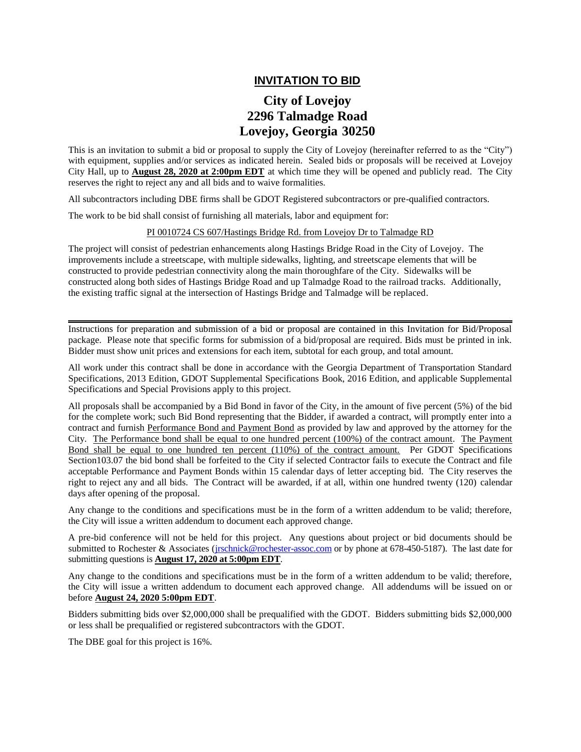## **INVITATION TO BID**

## **City of Lovejoy 2296 Talmadge Road Lovejoy, Georgia 30250**

This is an invitation to submit a bid or proposal to supply the City of Lovejoy (hereinafter referred to as the "City") with equipment, supplies and/or services as indicated herein. Sealed bids or proposals will be received at Lovejoy City Hall, up to **August 28, 2020 at 2:00pm EDT** at which time they will be opened and publicly read. The City reserves the right to reject any and all bids and to waive formalities.

All subcontractors including DBE firms shall be GDOT Registered subcontractors or pre-qualified contractors.

The work to be bid shall consist of furnishing all materials, labor and equipment for:

## PI 0010724 CS 607/Hastings Bridge Rd. from Lovejoy Dr to Talmadge RD

The project will consist of pedestrian enhancements along Hastings Bridge Road in the City of Lovejoy. The improvements include a streetscape, with multiple sidewalks, lighting, and streetscape elements that will be constructed to provide pedestrian connectivity along the main thoroughfare of the City. Sidewalks will be constructed along both sides of Hastings Bridge Road and up Talmadge Road to the railroad tracks. Additionally, the existing traffic signal at the intersection of Hastings Bridge and Talmadge will be replaced.

Instructions for preparation and submission of a bid or proposal are contained in this Invitation for Bid/Proposal package. Please note that specific forms for submission of a bid/proposal are required. Bids must be printed in ink. Bidder must show unit prices and extensions for each item, subtotal for each group, and total amount.

All work under this contract shall be done in accordance with the Georgia Department of Transportation Standard Specifications, 2013 Edition, GDOT Supplemental Specifications Book, 2016 Edition, and applicable Supplemental Specifications and Special Provisions apply to this project.

All proposals shall be accompanied by a Bid Bond in favor of the City, in the amount of five percent (5%) of the bid for the complete work; such Bid Bond representing that the Bidder, if awarded a contract, will promptly enter into a contract and furnish Performance Bond and Payment Bond as provided by law and approved by the attorney for the City. The Performance bond shall be equal to one hundred percent (100%) of the contract amount. The Payment Bond shall be equal to one hundred ten percent (110%) of the contract amount. Per GDOT Specifications Section103.07 the bid bond shall be forfeited to the City if selected Contractor fails to execute the Contract and file acceptable Performance and Payment Bonds within 15 calendar days of letter accepting bid. The City reserves the right to reject any and all bids. The Contract will be awarded, if at all, within one hundred twenty (120) calendar days after opening of the proposal.

Any change to the conditions and specifications must be in the form of a written addendum to be valid; therefore, the City will issue a written addendum to document each approved change.

A pre-bid conference will not be held for this project. Any questions about project or bid documents should be submitted to Rochester & Associates [\(jrschnick@rochester-assoc.com](mailto:jrschnick@rochester-assoc.com) or by phone at 678-450-5187). The last date for submitting questions is **August 17, 2020 at 5:00pm EDT**.

Any change to the conditions and specifications must be in the form of a written addendum to be valid; therefore, the City will issue a written addendum to document each approved change. All addendums will be issued on or before **August 24, 2020 5:00pm EDT**.

Bidders submitting bids over \$2,000,000 shall be prequalified with the GDOT. Bidders submitting bids \$2,000,000 or less shall be prequalified or registered subcontractors with the GDOT.

The DBE goal for this project is 16%.